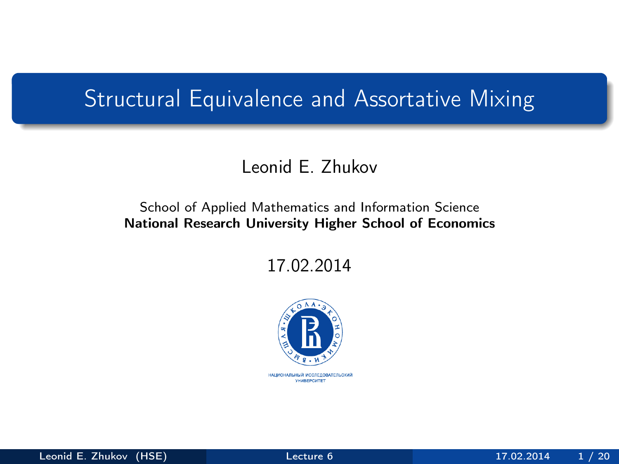## <span id="page-0-0"></span>Structural Equivalence and Assortative Mixing

## Leonid E. Zhukov

### School of Applied Mathematics and Information Science National Research University Higher School of Economics

17.02.2014

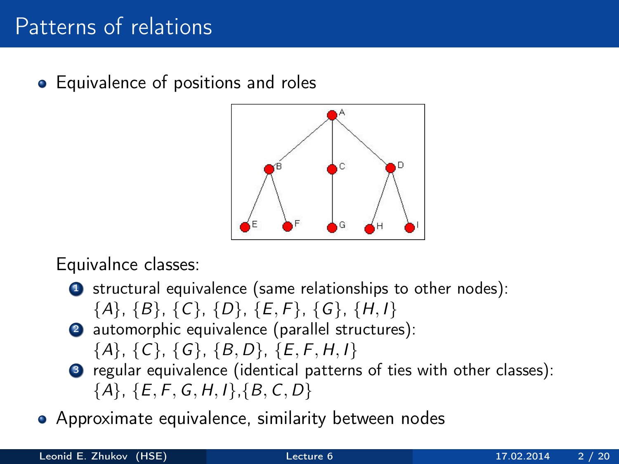# Patterns of relations

• Equivalence of positions and roles



Equivalnce classes:

- **1** structural equivalence (same relationships to other nodes):
	- $\{A\}, \{B\}, \{C\}, \{D\}, \{E, F\}, \{G\}, \{H, I\}$
- <sup>2</sup> automorphic equivalence (parallel structures):  ${A}, {C}, {G}, {B}, D, {E, F, H, I}$
- <sup>3</sup> regular equivalence (identical patterns of ties with other classes):  ${A}, {E, F, G, H, I}, {B, C, D}$
- Approximate equivalence, similarity between nodes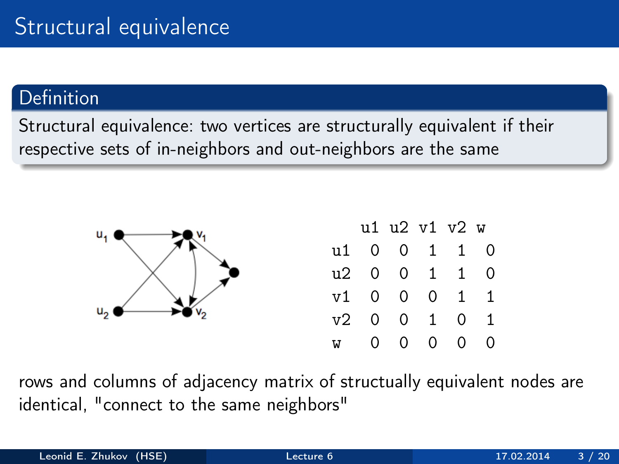## Definition

Structural equivalence: two vertices are structurally equivalent if their respective sets of in-neighbors and out-neighbors are the same



|   |              |          |                | u1 u2 v1 v2 w |   |
|---|--------------|----------|----------------|---------------|---|
|   |              | u1 0 0 1 |                | $1 \quad$     | Ω |
|   |              | u2 0 0 1 |                | 1             | 0 |
|   |              | $v1$ 0 0 | $\overline{0}$ | 1             | 1 |
|   | $v2 \quad 0$ |          | $0\quad 1$     | 0             | 1 |
| W | 0.           | $\Omega$ | 0              | 0             | 0 |

rows and columns of adjacency matrix of structually equivalent nodes are identical, "connect to the same neighbors"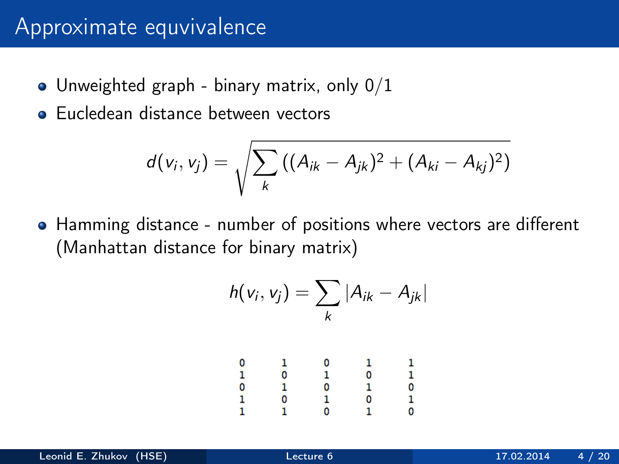## Approximate equvivalence

- $\bullet$  Unweighted graph binary matrix, only  $0/1$
- **Eucledean distance between vectors**

$$
d(v_i, v_j) = \sqrt{\sum_k ((A_{ik} - A_{jk})^2 + (A_{ki} - A_{kj})^2)}
$$

Hamming distance - number of positions where vectors are different (Manhattan distance for binary matrix)

$$
h(v_i,v_j)=\sum_k|A_{ik}-A_{jk}|
$$

|                         |       |               | $\mathbf{1}$ |                                |
|-------------------------|-------|---------------|--------------|--------------------------------|
| $0 \\ 1 \\ 0 \\ 1 \\ 1$ | 10101 | 0<br>10<br>10 |              | $\frac{1}{0}$<br>$\frac{0}{0}$ |
|                         |       |               | 0101         |                                |
|                         |       |               |              |                                |
|                         |       |               |              |                                |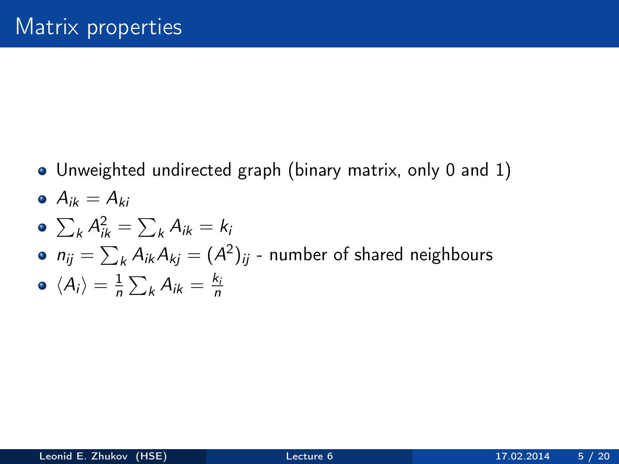Unweighted undirected graph (binary matrix, only 0 and 1)

$$
\bullet \ \ A_{ik}=A_{ki}
$$

$$
\bullet \ \sum_k A_{ik}^2 = \sum_k A_{ik} = k_i
$$

• 
$$
n_{ij} = \sum_{k} A_{ik} A_{kj} = (A^2)_{ij}
$$
 - number of shared neighbors

$$
\bullet \ \langle A_i \rangle = \frac{1}{n} \sum_k A_{ik} = \frac{k_i}{n}
$$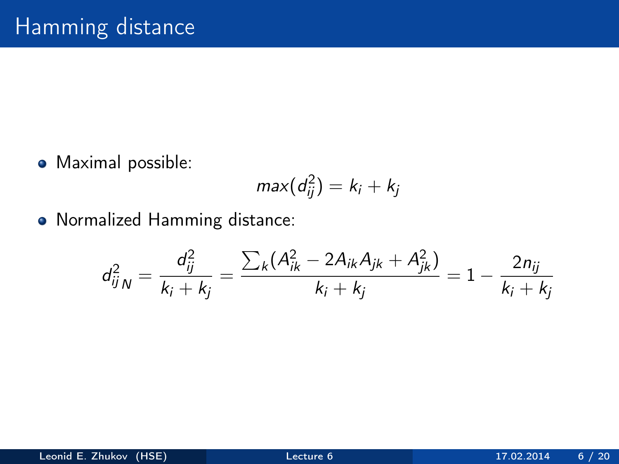• Maximal possible:

$$
max(d_{ij}^2)=k_i+k_j
$$

Normalized Hamming distance:

$$
d_{ijN}^2 = \frac{d_{ij}^2}{k_i + k_j} = \frac{\sum_k (A_{ik}^2 - 2A_{ik}A_{jk} + A_{jk}^2)}{k_i + k_j} = 1 - \frac{2n_{ij}}{k_i + k_j}
$$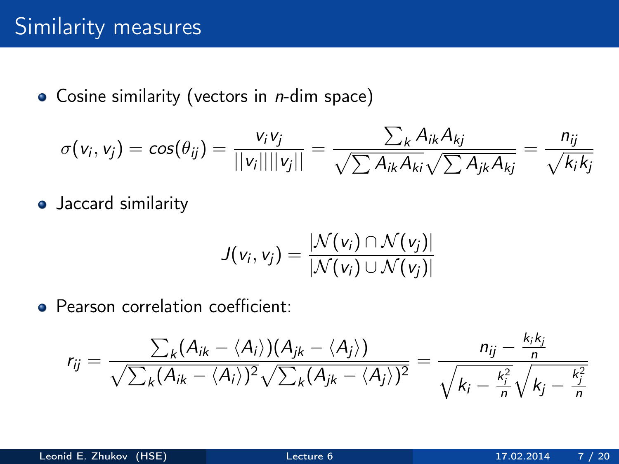$\bullet$  Cosine similarity (vectors in *n*-dim space)

$$
\sigma(v_i, v_j) = \cos(\theta_{ij}) = \frac{v_i v_j}{\|v_i\| \|v_j\|} = \frac{\sum_k A_{ik} A_{kj}}{\sqrt{\sum A_{ik} A_{ki}} \sqrt{\sum A_{jk} A_{kj}}} = \frac{n_{ij}}{\sqrt{k_i k_j}}
$$

• Jaccard similarity

$$
J(v_i, v_j) = \frac{|\mathcal{N}(v_i) \cap \mathcal{N}(v_j)|}{|\mathcal{N}(v_i) \cup \mathcal{N}(v_j)|}
$$

**Pearson correlation coefficient:** 

$$
r_{ij} = \frac{\sum_{k} (A_{ik} - \langle A_i \rangle)(A_{jk} - \langle A_j \rangle)}{\sqrt{\sum_{k} (A_{ik} - \langle A_i \rangle)^2} \sqrt{\sum_{k} (A_{jk} - \langle A_j \rangle)^2}} = \frac{n_{ij} - \frac{k_i k_j}{n}}{\sqrt{k_i - \frac{k_i^2}{n}} \sqrt{k_j - \frac{k_i^2}{n}}}
$$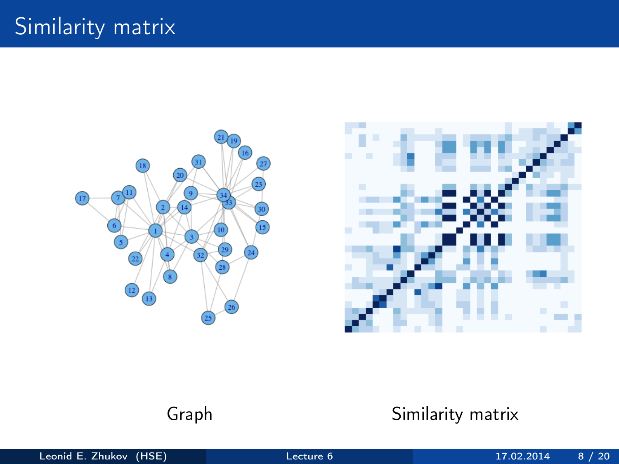



## Graph Similarity matrix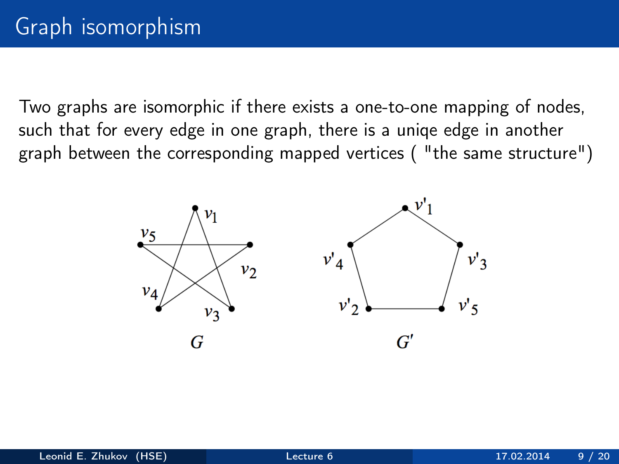Two graphs are isomorphic if there exists a one-to-one mapping of nodes, such that for every edge in one graph, there is a uniqe edge in another graph between the corresponding mapped vertices ( "the same structure")

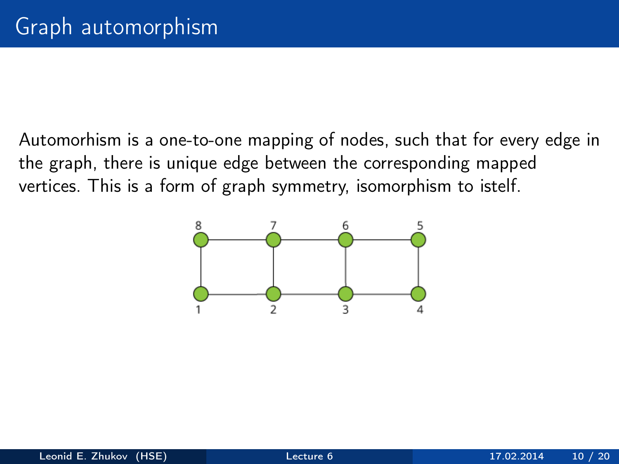Automorhism is a one-to-one mapping of nodes, such that for every edge in the graph, there is unique edge between the corresponding mapped vertices. This is a form of graph symmetry, isomorphism to istelf.

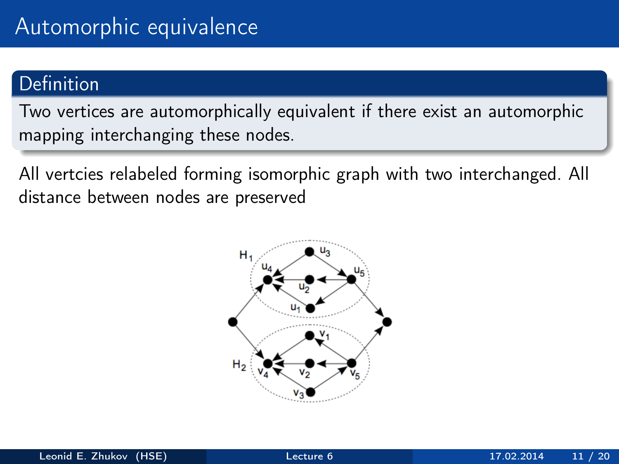## **Definition**

Two vertices are automorphically equivalent if there exist an automorphic mapping interchanging these nodes.

All vertcies relabeled forming isomorphic graph with two interchanged. All distance between nodes are preserved

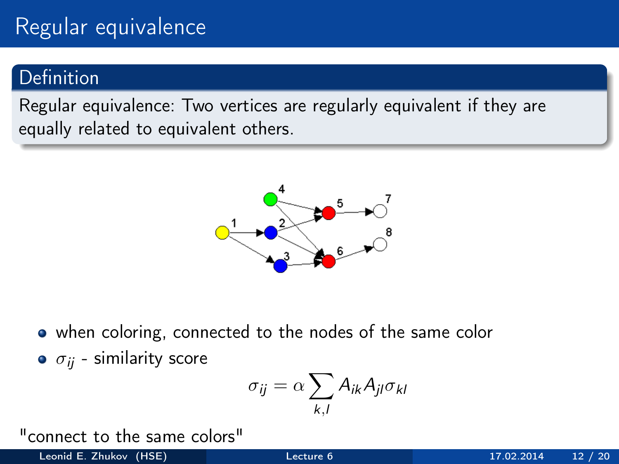# Regular equivalence

## Definition

Regular equivalence: Two vertices are regularly equivalent if they are equally related to equivalent others.



when coloring, connected to the nodes of the same color

 $\bullet$   $\sigma_{ii}$  - similarity score

$$
\sigma_{ij} = \alpha \sum_{k,l} A_{ik} A_{jl} \sigma_{kl}
$$

"connect to the same colors"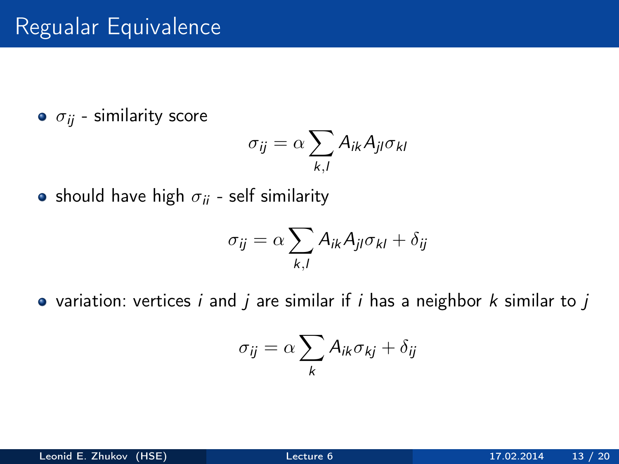# Regualar Equivalence

 $\bullet$   $\sigma_{ij}$  - similarity score

$$
\sigma_{ij} = \alpha \sum_{k,l} A_{ik} A_{jl} \sigma_{kl}
$$

• should have high  $\sigma_{ii}$  - self similarity

$$
\sigma_{ij} = \alpha \sum_{k,l} A_{ik} A_{jl} \sigma_{kl} + \delta_{ij}
$$

• variation: vertices i and j are similar if i has a neighbor  $k$  similar to j

$$
\sigma_{ij} = \alpha \sum_{k} A_{ik} \sigma_{kj} + \delta_{ij}
$$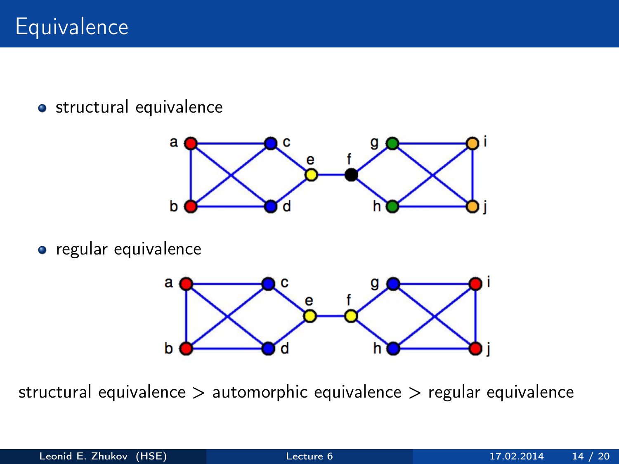**·** structural equivalence



**•** regular equivalence



structural equivalence > automorphic equivalence > regular equivalence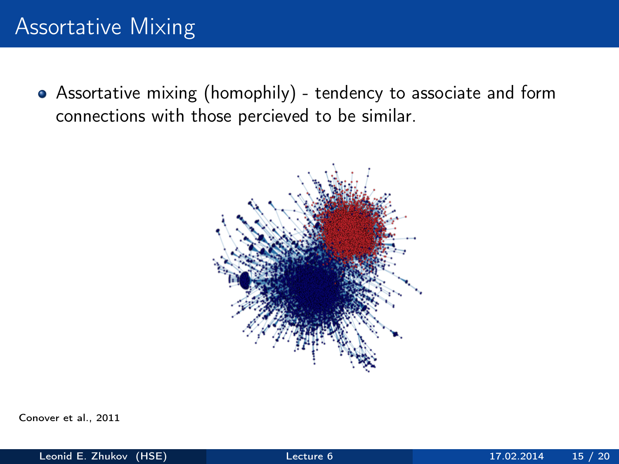# Assortative Mixing

Assortative mixing (homophily) - tendency to associate and form connections with those percieved to be similar.



Conover et al., 2011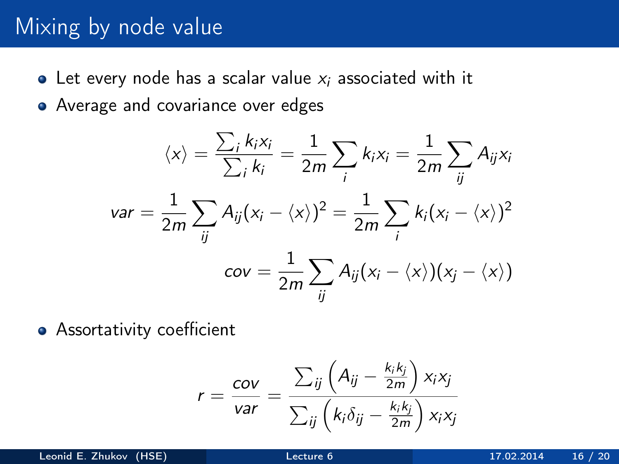## Mixing by node value

- Let every node has a scalar value  $x_i$  associated with it
- Average and covariance over edges

$$
\langle x \rangle = \frac{\sum_{i} k_{i}x_{i}}{\sum_{i} k_{i}} = \frac{1}{2m} \sum_{i} k_{i}x_{i} = \frac{1}{2m} \sum_{ij} A_{ij}x_{i}
$$

$$
var = \frac{1}{2m} \sum_{ij} A_{ij} (x_{i} - \langle x \rangle)^{2} = \frac{1}{2m} \sum_{i} k_{i} (x_{i} - \langle x \rangle)^{2}
$$

$$
cov = \frac{1}{2m} \sum_{ij} A_{ij} (x_{i} - \langle x \rangle) (x_{j} - \langle x \rangle)
$$

**•** Assortativity coefficient

$$
r = \frac{cov}{var} = \frac{\sum_{ij} \left( A_{ij} - \frac{k_i k_j}{2m} \right) x_i x_j}{\sum_{ij} \left( k_i \delta_{ij} - \frac{k_i k_j}{2m} \right) x_i x_j}
$$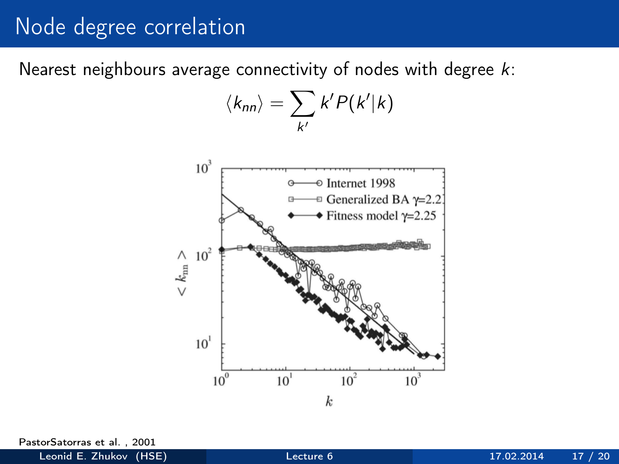## Node degree correlation

Nearest neighbours average connectivity of nodes with degree k:

$$
\langle k_{nn}\rangle=\sum_{k'}k'P(k'|k)
$$



PastorSatorras et al. , 2001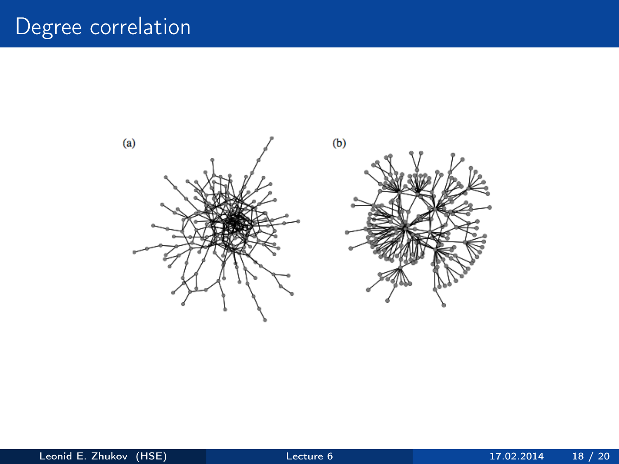# Degree correlation

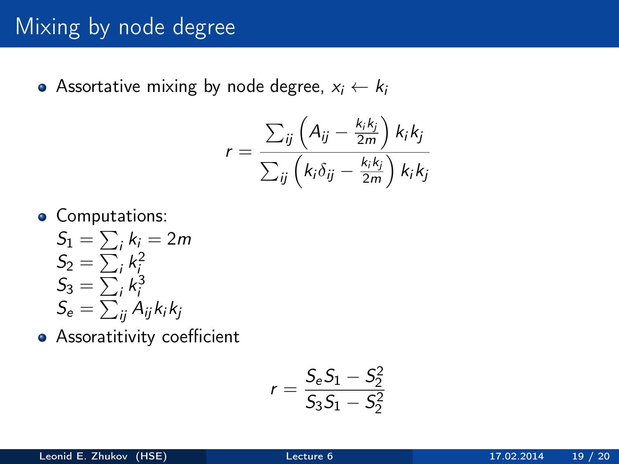# Mixing by node degree

Assortative mixing by node degree,  $x_i \leftarrow k_i$ 

$$
r = \frac{\sum_{ij} \left( A_{ij} - \frac{k_i k_j}{2m} \right) k_i k_j}{\sum_{ij} \left( k_i \delta_{ij} - \frac{k_i k_j}{2m} \right) k_i k_j}
$$

**•** Computations:

$$
S_1 = \sum_i k_i = 2m
$$
  
\n
$$
S_2 = \sum_i k_i^2
$$
  
\n
$$
S_3 = \sum_i k_i^3
$$
  
\n
$$
S_e = \sum_{ij} A_{ij} k_i k_j
$$

**•** Assoratitivity coefficient

$$
r = \frac{S_e S_1 - S_2^2}{S_3 S_1 - S_2^2}
$$